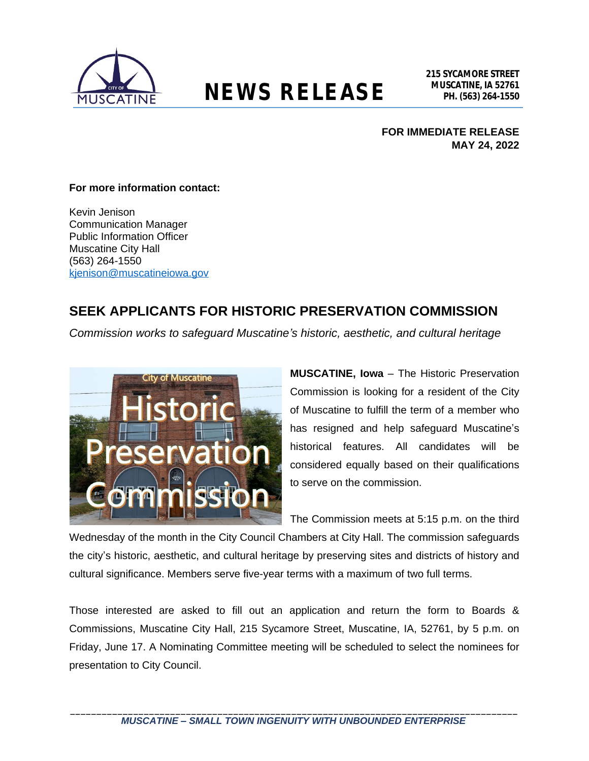

# **NEWS RELEASE** MUSCATINE, IA 52761

## **FOR IMMEDIATE RELEASE MAY 24, 2022**

#### **For more information contact:**

Kevin Jenison Communication Manager Public Information Officer Muscatine City Hall (563) 264-1550 [kjenison@muscatineiowa.gov](mailto:kjenison@muscatineiowa.gov)

## **SEEK APPLICANTS FOR HISTORIC PRESERVATION COMMISSION**

*Commission works to safeguard Muscatine's historic, aesthetic, and cultural heritage*



**MUSCATINE, Iowa** – The Historic Preservation Commission is looking for a resident of the City of Muscatine to fulfill the term of a member who has resigned and help safeguard Muscatine's historical features. All candidates will be considered equally based on their qualifications to serve on the commission.

The Commission meets at 5:15 p.m. on the third

Wednesday of the month in the City Council Chambers at City Hall. The commission safeguards the city's historic, aesthetic, and cultural heritage by preserving sites and districts of history and cultural significance. Members serve five-year terms with a maximum of two full terms.

Those interested are asked to fill out an application and return the form to Boards & Commissions, Muscatine City Hall, 215 Sycamore Street, Muscatine, IA, 52761, by 5 p.m. on Friday, June 17. A Nominating Committee meeting will be scheduled to select the nominees for presentation to City Council.